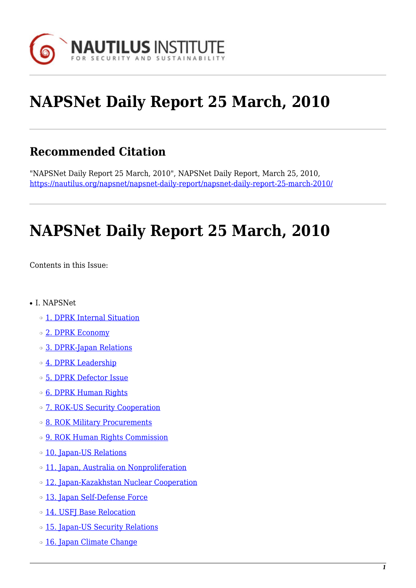

# **NAPSNet Daily Report 25 March, 2010**

### **Recommended Citation**

"NAPSNet Daily Report 25 March, 2010", NAPSNet Daily Report, March 25, 2010, <https://nautilus.org/napsnet/napsnet-daily-report/napsnet-daily-report-25-march-2010/>

# **NAPSNet Daily Report 25 March, 2010**

<span id="page-0-0"></span>Contents in this Issue:

- I. NAPSNet
	- ❍ [1. DPRK Internal Situation](#page-1-0)
	- ❍ [2. DPRK Economy](#page-1-1)
	- ❍ [3. DPRK-Japan Relations](#page-1-2)
	- o [4. DPRK Leadership](#page-2-0)
	- ❍ [5. DPRK Defector Issue](#page-2-1)
	- ❍ [6. DPRK Human Rights](#page-2-2)
	- o [7. ROK-US Security Cooperation](#page-3-0)
	- ❍ [8. ROK Military Procurements](#page-3-1)
	- ❍ [9. ROK Human Rights Commission](#page-3-2)
	- o [10. Japan-US Relations](#page-3-3)
	- ❍ [11. Japan, Australia on Nonproliferation](#page-4-0)
	- ❍ [12. Japan-Kazakhstan Nuclear Cooperation](#page-4-1)
	- o [13. Japan Self-Defense Force](#page-4-2)
	- ❍ [14. USFJ Base Relocation](#page-5-0)
	- o [15. Japan-US Security Relations](#page-5-1)
	- o [16. Japan Climate Change](#page-6-0)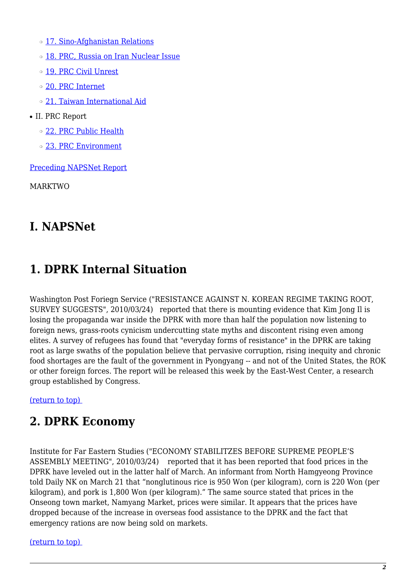o [17. Sino-Afghanistan Relations](#page-6-1)

- o [18. PRC, Russia on Iran Nuclear Issue](#page-6-2)
- o [19. PRC Civil Unrest](#page-6-3)
- ❍ [20. PRC Internet](#page-7-0)
- ❍ [21. Taiwan International Aid](#page-7-1)
- II. PRC Report
	- ❍ [22. PRC Public Health](#page-7-2)
	- ❍ [23. PRC Environment](#page-7-3)

[Preceding NAPSNet Report](https://nautilus.org/mailing-lists/napsnet/dr/2010-2/napsnet-daily-report-24-march-2010/)

MARKTWO

#### **I. NAPSNet**

### <span id="page-1-0"></span>**1. DPRK Internal Situation**

Washington Post Foriegn Service ("RESISTANCE AGAINST N. KOREAN REGIME TAKING ROOT, SURVEY SUGGESTS", 2010/03/24) reported that there is mounting evidence that Kim Jong Il is losing the propaganda war inside the DPRK with more than half the population now listening to foreign news, grass-roots cynicism undercutting state myths and discontent rising even among elites. A survey of refugees has found that "everyday forms of resistance" in the DPRK are taking root as large swaths of the population believe that pervasive corruption, rising inequity and chronic food shortages are the fault of the government in Pyongyang -- and not of the United States, the ROK or other foreign forces. The report will be released this week by the East-West Center, a research group established by Congress.

<span id="page-1-1"></span>[\(return to top\)](#page-0-0) 

#### **2. DPRK Economy**

Institute for Far Eastern Studies ("ECONOMY STABILITZES BEFORE SUPREME PEOPLE'S ASSEMBLY MEETING", 2010/03/24) reported that it has been reported that food prices in the DPRK have leveled out in the latter half of March. An informant from North Hamgyeong Province told Daily NK on March 21 that "nonglutinous rice is 950 Won (per kilogram), corn is 220 Won (per kilogram), and pork is 1,800 Won (per kilogram)." The same source stated that prices in the Onseong town market, Namyang Market, prices were similar. It appears that the prices have dropped because of the increase in overseas food assistance to the DPRK and the fact that emergency rations are now being sold on markets.

#### <span id="page-1-2"></span>[\(return to top\)](#page-0-0)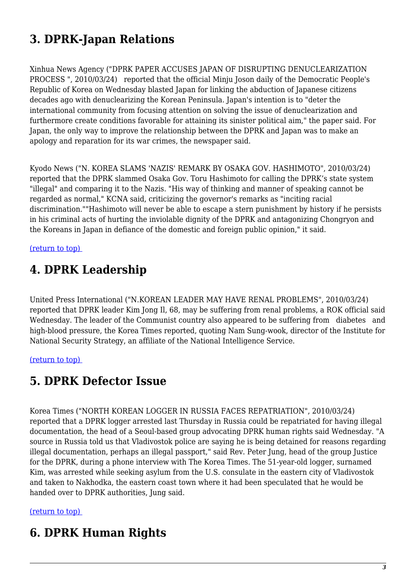# **3. DPRK-Japan Relations**

Xinhua News Agency ("DPRK PAPER ACCUSES JAPAN OF DISRUPTING DENUCLEARIZATION PROCESS ", 2010/03/24) reported that the official Minju Joson daily of the Democratic People's Republic of Korea on Wednesday blasted Japan for linking the abduction of Japanese citizens decades ago with denuclearizing the Korean Peninsula. Japan's intention is to "deter the international community from focusing attention on solving the issue of denuclearization and furthermore create conditions favorable for attaining its sinister political aim," the paper said. For Japan, the only way to improve the relationship between the DPRK and Japan was to make an apology and reparation for its war crimes, the newspaper said.

Kyodo News ("N. KOREA SLAMS 'NAZIS' REMARK BY OSAKA GOV. HASHIMOTO", 2010/03/24) reported that the DPRK slammed Osaka Gov. Toru Hashimoto for calling the DPRK's state system "illegal" and comparing it to the Nazis. "His way of thinking and manner of speaking cannot be regarded as normal," KCNA said, criticizing the governor's remarks as "inciting racial discrimination.""Hashimoto will never be able to escape a stern punishment by history if he persists in his criminal acts of hurting the inviolable dignity of the DPRK and antagonizing Chongryon and the Koreans in Japan in defiance of the domestic and foreign public opinion," it said.

#### <span id="page-2-0"></span>[\(return to top\)](#page-0-0)

### **4. DPRK Leadership**

United Press International ("N.KOREAN LEADER MAY HAVE RENAL PROBLEMS", 2010/03/24) reported that DPRK leader Kim Jong Il, 68, may be suffering from renal problems, a ROK official said Wednesday. The leader of the Communist country also appeared to be suffering from diabetes and high-blood pressure, the Korea Times reported, quoting Nam Sung-wook, director of the Institute for National Security Strategy, an affiliate of the National Intelligence Service.

#### <span id="page-2-1"></span>[\(return to top\)](#page-0-0)

#### **5. DPRK Defector Issue**

Korea Times ("NORTH KOREAN LOGGER IN RUSSIA FACES REPATRIATION", 2010/03/24) reported that a DPRK logger arrested last Thursday in Russia could be repatriated for having illegal documentation, the head of a Seoul-based group advocating DPRK human rights said Wednesday. "A source in Russia told us that Vladivostok police are saying he is being detained for reasons regarding illegal documentation, perhaps an illegal passport," said Rev. Peter Jung, head of the group Justice for the DPRK, during a phone interview with The Korea Times. The 51-year-old logger, surnamed Kim, was arrested while seeking asylum from the U.S. consulate in the eastern city of Vladivostok and taken to Nakhodka, the eastern coast town where it had been speculated that he would be handed over to DPRK authorities, Jung said.

#### <span id="page-2-2"></span>[\(return to top\)](#page-0-0)

### **6. DPRK Human Rights**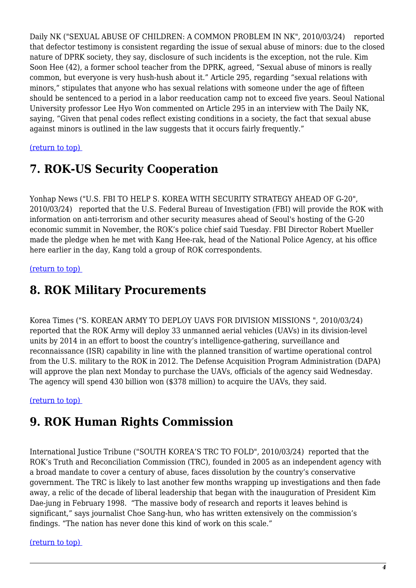Daily NK ("SEXUAL ABUSE OF CHILDREN: A COMMON PROBLEM IN NK", 2010/03/24) reported that defector testimony is consistent regarding the issue of sexual abuse of minors: due to the closed nature of DPRK society, they say, disclosure of such incidents is the exception, not the rule. Kim Soon Hee (42), a former school teacher from the DPRK, agreed, "Sexual abuse of minors is really common, but everyone is very hush-hush about it." Article 295, regarding "sexual relations with minors," stipulates that anyone who has sexual relations with someone under the age of fifteen should be sentenced to a period in a labor reeducation camp not to exceed five years. Seoul National University professor Lee Hyo Won commented on Article 295 in an interview with The Daily NK, saying, "Given that penal codes reflect existing conditions in a society, the fact that sexual abuse against minors is outlined in the law suggests that it occurs fairly frequently."

#### <span id="page-3-0"></span>[\(return to top\)](#page-0-0)

### **7. ROK-US Security Cooperation**

Yonhap News ("U.S. FBI TO HELP S. KOREA WITH SECURITY STRATEGY AHEAD OF G-20", 2010/03/24) reported that the U.S. Federal Bureau of Investigation (FBI) will provide the ROK with information on anti-terrorism and other security measures ahead of Seoul's hosting of the G-20 economic summit in November, the ROK's police chief said Tuesday. FBI Director Robert Mueller made the pledge when he met with Kang Hee-rak, head of the National Police Agency, at his office here earlier in the day, Kang told a group of ROK correspondents.

#### <span id="page-3-1"></span>[\(return to top\)](#page-0-0)

#### **8. ROK Military Procurements**

Korea Times ("S. KOREAN ARMY TO DEPLOY UAVS FOR DIVISION MISSIONS ", 2010/03/24) reported that the ROK Army will deploy 33 unmanned aerial vehicles (UAVs) in its division-level units by 2014 in an effort to boost the country's intelligence-gathering, surveillance and reconnaissance (ISR) capability in line with the planned transition of wartime operational control from the U.S. military to the ROK in 2012. The Defense Acquisition Program Administration (DAPA) will approve the plan next Monday to purchase the UAVs, officials of the agency said Wednesday. The agency will spend 430 billion won (\$378 million) to acquire the UAVs, they said.

#### <span id="page-3-2"></span>[\(return to top\)](#page-0-0)

#### **9. ROK Human Rights Commission**

International Justice Tribune ("SOUTH KOREA'S TRC TO FOLD", 2010/03/24) reported that the ROK's Truth and Reconciliation Commission (TRC), founded in 2005 as an independent agency with a broad mandate to cover a century of abuse, faces dissolution by the country's conservative government. The TRC is likely to last another few months wrapping up investigations and then fade away, a relic of the decade of liberal leadership that began with the inauguration of President Kim Dae-jung in February 1998. "The massive body of research and reports it leaves behind is significant," says journalist Choe Sang-hun, who has written extensively on the commission's findings. "The nation has never done this kind of work on this scale."

#### <span id="page-3-3"></span>[\(return to top\)](#page-0-0)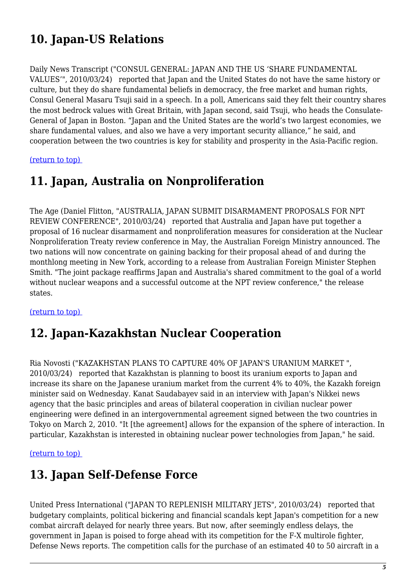# **10. Japan-US Relations**

Daily News Transcript ("CONSUL GENERAL: JAPAN AND THE US 'SHARE FUNDAMENTAL VALUES'", 2010/03/24) reported that Japan and the United States do not have the same history or culture, but they do share fundamental beliefs in democracy, the free market and human rights, Consul General Masaru Tsuji said in a speech. In a poll, Americans said they felt their country shares the most bedrock values with Great Britain, with Japan second, said Tsuji, who heads the Consulate-General of Japan in Boston. "Japan and the United States are the world's two largest economies, we share fundamental values, and also we have a very important security alliance," he said, and cooperation between the two countries is key for stability and prosperity in the Asia-Pacific region.

#### <span id="page-4-0"></span>[\(return to top\)](#page-0-0)

### **11. Japan, Australia on Nonproliferation**

The Age (Daniel Flitton, "AUSTRALIA, JAPAN SUBMIT DISARMAMENT PROPOSALS FOR NPT REVIEW CONFERENCE", 2010/03/24) reported that Australia and Japan have put together a proposal of 16 nuclear disarmament and nonproliferation measures for consideration at the Nuclear Nonproliferation Treaty review conference in May, the Australian Foreign Ministry announced. The two nations will now concentrate on gaining backing for their proposal ahead of and during the monthlong meeting in New York, according to a release from Australian Foreign Minister Stephen Smith. "The joint package reaffirms Japan and Australia's shared commitment to the goal of a world without nuclear weapons and a successful outcome at the NPT review conference," the release states.

<span id="page-4-1"></span>[\(return to top\)](#page-0-0) 

### **12. Japan-Kazakhstan Nuclear Cooperation**

Ria Novosti ("KAZAKHSTAN PLANS TO CAPTURE 40% OF JAPAN'S URANIUM MARKET ", 2010/03/24) reported that Kazakhstan is planning to boost its uranium exports to Japan and increase its share on the Japanese uranium market from the current 4% to 40%, the Kazakh foreign minister said on Wednesday. Kanat Saudabayev said in an interview with Japan's Nikkei news agency that the basic principles and areas of bilateral cooperation in civilian nuclear power engineering were defined in an intergovernmental agreement signed between the two countries in Tokyo on March 2, 2010. "It [the agreement] allows for the expansion of the sphere of interaction. In particular, Kazakhstan is interested in obtaining nuclear power technologies from Japan," he said.

#### <span id="page-4-2"></span>[\(return to top\)](#page-0-0)

### **13. Japan Self-Defense Force**

United Press International ("JAPAN TO REPLENISH MILITARY JETS", 2010/03/24) reported that budgetary complaints, political bickering and financial scandals kept Japan's competition for a new combat aircraft delayed for nearly three years. But now, after seemingly endless delays, the government in Japan is poised to forge ahead with its competition for the F-X multirole fighter, Defense News reports. The competition calls for the purchase of an estimated 40 to 50 aircraft in a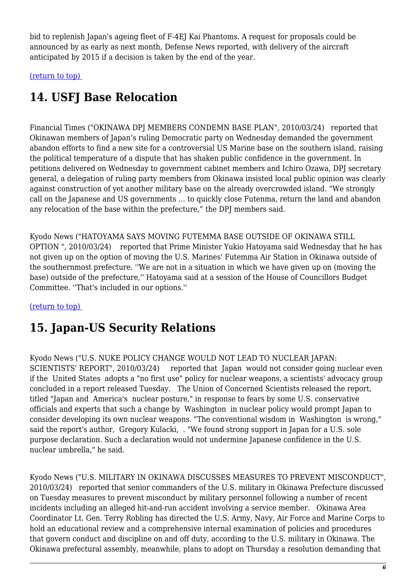bid to replenish Japan's ageing fleet of F-4EJ Kai Phantoms. A request for proposals could be announced by as early as next month, Defense News reported, with delivery of the aircraft anticipated by 2015 if a decision is taken by the end of the year.

<span id="page-5-0"></span>[\(return to top\)](#page-0-0) 

# **14. USFJ Base Relocation**

Financial Times ("OKINAWA DPJ MEMBERS CONDEMN BASE PLAN", 2010/03/24) reported that Okinawan members of Japan's ruling Democratic party on Wednesday demanded the government abandon efforts to find a new site for a controversial US Marine base on the southern island, raising the political temperature of a dispute that has shaken public confidence in the government. In petitions delivered on Wednesday to government cabinet members and Ichiro Ozawa, DPJ secretary general, a delegation of ruling party members from Okinawa insisted local public opinion was clearly against construction of yet another military base on the already overcrowded island. "We strongly call on the Japanese and US governments … to quickly close Futenma, return the land and abandon any relocation of the base within the prefecture," the DPJ members said.

Kyodo News ("HATOYAMA SAYS MOVING FUTEMMA BASE OUTSIDE OF OKINAWA STILL OPTION ", 2010/03/24) reported that Prime Minister Yukio Hatoyama said Wednesday that he has not given up on the option of moving the U.S. Marines' Futemma Air Station in Okinawa outside of the southernmost prefecture. ''We are not in a situation in which we have given up on (moving the base) outside of the prefecture,'' Hatoyama said at a session of the House of Councillors Budget Committee. ''That's included in our options.''

#### <span id="page-5-1"></span>[\(return to top\)](#page-0-0)

## **15. Japan-US Security Relations**

Kyodo News ("U.S. NUKE POLICY CHANGE WOULD NOT LEAD TO NUCLEAR JAPAN: SCIENTISTS' REPORT", 2010/03/24) reported that Japan would not consider going nuclear even if the United States adopts a "no first use" policy for nuclear weapons, a scientists' advocacy group concluded in a report released Tuesday. The Union of Concerned Scientists released the report, titled "Japan and America's nuclear posture," in response to fears by some U.S. conservative officials and experts that such a change by Washington in nuclear policy would prompt Japan to consider developing its own nuclear weapons. "The conventional wisdom in Washington is wrong," said the report's author, Gregory Kulacki, . "We found strong support in Japan for a U.S. sole purpose declaration. Such a declaration would not undermine Japanese confidence in the U.S. nuclear umbrella," he said.

Kyodo News ("U.S. MILITARY IN OKINAWA DISCUSSES MEASURES TO PREVENT MISCONDUCT", 2010/03/24) reported that senior commanders of the U.S. military in Okinawa Prefecture discussed on Tuesday measures to prevent misconduct by military personnel following a number of recent incidents including an alleged hit-and-run accident involving a service member. Okinawa Area Coordinator Lt. Gen. Terry Robling has directed the U.S. Army, Navy, Air Force and Marine Corps to hold an educational review and a comprehensive internal examination of policies and procedures that govern conduct and discipline on and off duty, according to the U.S. military in Okinawa. The Okinawa prefectural assembly, meanwhile, plans to adopt on Thursday a resolution demanding that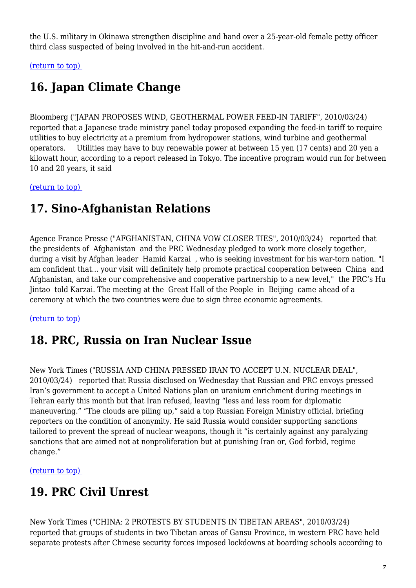the U.S. military in Okinawa strengthen discipline and hand over a 25-year-old female petty officer third class suspected of being involved in the hit-and-run accident.

<span id="page-6-0"></span>[\(return to top\)](#page-0-0) 

## **16. Japan Climate Change**

Bloomberg ("JAPAN PROPOSES WIND, GEOTHERMAL POWER FEED-IN TARIFF", 2010/03/24) reported that a Japanese trade ministry panel today proposed expanding the feed-in tariff to require utilities to buy electricity at a premium from hydropower stations, wind turbine and geothermal operators. Utilities may have to buy renewable power at between 15 yen (17 cents) and 20 yen a kilowatt hour, according to a report released in Tokyo. The incentive program would run for between 10 and 20 years, it said

<span id="page-6-1"></span>[\(return to top\)](#page-0-0) 

### **17. Sino-Afghanistan Relations**

Agence France Presse ("AFGHANISTAN, CHINA VOW CLOSER TIES", 2010/03/24) reported that the presidents of Afghanistan and the PRC Wednesday pledged to work more closely together, during a visit by Afghan leader Hamid Karzai , who is seeking investment for his war-torn nation. "I am confident that... your visit will definitely help promote practical cooperation between China and Afghanistan, and take our comprehensive and cooperative partnership to a new level," the PRC's Hu Jintao told Karzai. The meeting at the Great Hall of the People in Beijing came ahead of a ceremony at which the two countries were due to sign three economic agreements.

#### <span id="page-6-2"></span>[\(return to top\)](#page-0-0)

### **18. PRC, Russia on Iran Nuclear Issue**

New York Times ("RUSSIA AND CHINA PRESSED IRAN TO ACCEPT U.N. NUCLEAR DEAL", 2010/03/24) reported that Russia disclosed on Wednesday that Russian and PRC envoys pressed Iran's government to accept a United Nations plan on uranium enrichment during meetings in Tehran early this month but that Iran refused, leaving "less and less room for diplomatic maneuvering." "The clouds are piling up," said a top Russian Foreign Ministry official, briefing reporters on the condition of anonymity. He said Russia would consider supporting sanctions tailored to prevent the spread of nuclear weapons, though it "is certainly against any paralyzing sanctions that are aimed not at nonproliferation but at punishing Iran or, God forbid, regime change."

<span id="page-6-3"></span>[\(return to top\)](#page-0-0) 

### **19. PRC Civil Unrest**

New York Times ("CHINA: 2 PROTESTS BY STUDENTS IN TIBETAN AREAS", 2010/03/24) reported that groups of students in two Tibetan areas of Gansu Province, in western PRC have held separate protests after Chinese security forces imposed lockdowns at boarding schools according to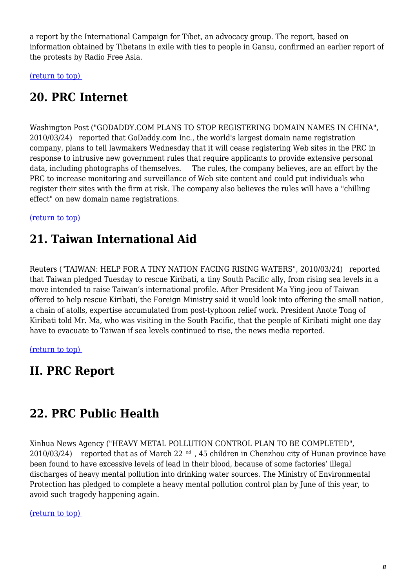a report by the International Campaign for Tibet, an advocacy group. The report, based on information obtained by Tibetans in exile with ties to people in Gansu, confirmed an earlier report of the protests by Radio Free Asia.

<span id="page-7-0"></span>[\(return to top\)](#page-0-0) 

### **20. PRC Internet**

Washington Post ("GODADDY.COM PLANS TO STOP REGISTERING DOMAIN NAMES IN CHINA", 2010/03/24) reported that GoDaddy.com Inc., the world's largest domain name registration company, plans to tell lawmakers Wednesday that it will cease registering Web sites in the PRC in response to intrusive new government rules that require applicants to provide extensive personal data, including photographs of themselves. The rules, the company believes, are an effort by the PRC to increase monitoring and surveillance of Web site content and could put individuals who register their sites with the firm at risk. The company also believes the rules will have a "chilling effect" on new domain name registrations.

<span id="page-7-1"></span>[\(return to top\)](#page-0-0) 

### **21. Taiwan International Aid**

Reuters ("TAIWAN: HELP FOR A TINY NATION FACING RISING WATERS", 2010/03/24) reported that Taiwan pledged Tuesday to rescue Kiribati, a tiny South Pacific ally, from rising sea levels in a move intended to raise Taiwan's international profile. After President Ma Ying-jeou of Taiwan offered to help rescue Kiribati, the Foreign Ministry said it would look into offering the small nation, a chain of atolls, expertise accumulated from post-typhoon relief work. President Anote Tong of Kiribati told Mr. Ma, who was visiting in the South Pacific, that the people of Kiribati might one day have to evacuate to Taiwan if sea levels continued to rise, the news media reported.

[\(return to top\)](#page-0-0) 

### **II. PRC Report**

### <span id="page-7-2"></span>**22. PRC Public Health**

Xinhua News Agency ("HEAVY METAL POLLUTION CONTROL PLAN TO BE COMPLETED", 2010/03/24) reported that as of March 22 <sup>nd</sup>, 45 children in Chenzhou city of Hunan province have been found to have excessive levels of lead in their blood, because of some factories' illegal discharges of heavy mental pollution into drinking water sources. The Ministry of Environmental Protection has pledged to complete a heavy mental pollution control plan by June of this year, to avoid such tragedy happening again.

#### <span id="page-7-3"></span>[\(return to top\)](#page-0-0)